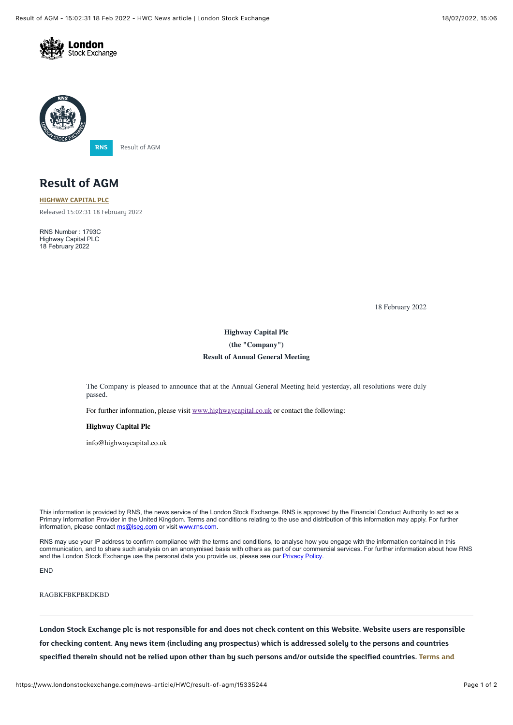



# **Result of AGM**

**[HIGHWAY CAPITAL PLC](https://www.londonstockexchange.com/stock/HWC/highway-capital-plc)** Released 15:02:31 18 February 2022

RNS Number : 1793C Highway Capital PLC 18 February 2022

18 February 2022

# **Highway Capital Plc (the "Company") Result of Annual General Meeting**

The Company is pleased to announce that at the Annual General Meeting held yesterday, all resolutions were duly passed.

For further information, please visit [www.highwaycapital.co.uk](http://www.highwaycapital.co.uk/) or contact the following:

#### **Highway Capital Plc**

info@highwaycapital.co.uk

This information is provided by RNS, the news service of the London Stock Exchange. RNS is approved by the Financial Conduct Authority to act as a Primary Information Provider in the United Kingdom. Terms and conditions relating to the use and distribution of this information may apply. For further information, please contact ms@lseg.com or visit www.ms.com.

RNS may use your IP address to confirm compliance with the terms and conditions, to analyse how you engage with the information contained in this communication, and to share such analysis on an anonymised basis with others as part of our commercial services. For further information about how RNS and the London Stock Exchange use the personal data you provide us, please see our [Privacy Policy.](https://www.lseg.com/privacy-and-cookie-policy)

END

### RAGBKFBKPBKDKBD

**London Stock Exchange plc is not responsible for and does not check content on this Website. Website users are responsible for checking content. Any news item (including any prospectus) which is addressed solely to the persons and countries [specified therein should not be relied upon other than by such persons and/or outside the specified countries. Terms and](https://www.londonstockexchange.com/disclaimer)**